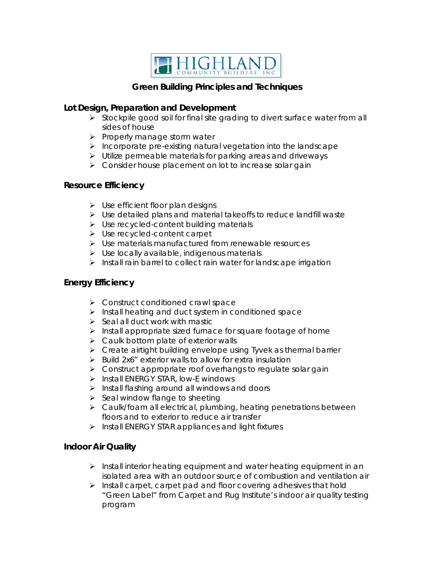

# **Green Building Principles and Techniques**

# **Lot Design, Preparation and Development**

- $\triangleright$  Stockpile good soil for final site grading to divert surface water from all sides of house
- $\triangleright$  Properly manage storm water
- $\triangleright$  Incorporate pre-existing natural vegetation into the landscape
- $\triangleright$  Utilize permeable materials for parking areas and driveways
- $\triangleright$  Consider house placement on lot to increase solar gain

# **Resource Efficiency**

- $\triangleright$  Use efficient floor plan designs
- $\triangleright$  Use detailed plans and material takeoffs to reduce landfill waste
- > Use recycled-content building materials
- $\triangleright$  Use recycled-content carpet
- $\triangleright$  Use materials manufactured from renewable resources
- $\triangleright$  Use locally available, indigenous materials
- $\triangleright$  Install rain barrel to collect rain water for landscape irrigation

# **Energy Efficiency**

- $\triangleright$  Construct conditioned crawl space
- $\triangleright$  Install heating and duct system in conditioned space
- $\triangleright$  Seal all duct work with mastic
- $\triangleright$  Install appropriate sized furnace for square footage of home
- $\triangleright$  Caulk bottom plate of exterior walls
- **EX** Create airtight building envelope using Tyvek as thermal barrier
- $\triangleright$  Build 2x6" exterior walls to allow for extra insulation
- $\triangleright$  Construct appropriate roof overhangs to regulate solar gain
- > Install ENERGY STAR, low-E windows
- $\triangleright$  Install flashing around all windows and doors
- $\triangleright$  Seal window flange to sheeting
- $\triangleright$  Caulk/foam all electrical, plumbing, heating penetrations between floors and to exterior to reduce air transfer
- $\triangleright$  Install ENERGY STAR appliances and light fixtures

# **Indoor Air Quality**

- $\triangleright$  Install interior heating equipment and water heating equipment in an isolated area with an outdoor source of combustion and ventilation air
- $\triangleright$  Install carpet, carpet pad and floor covering adhesives that hold "Green Label" from Carpet and Rug Institute's indoor air quality testing program